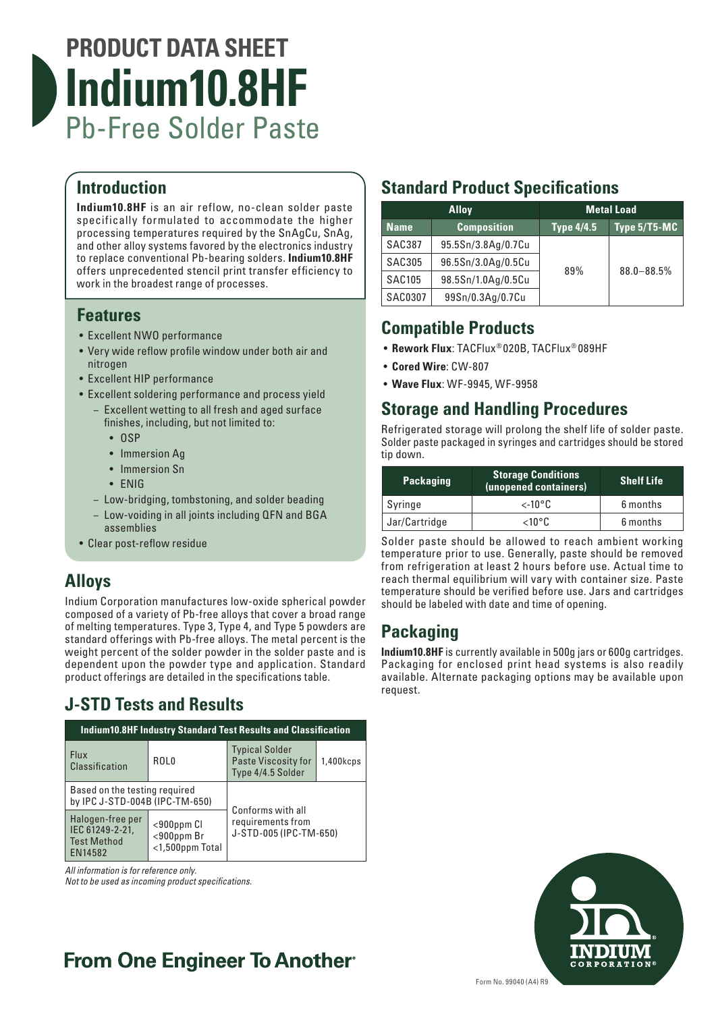

### **Introduction**

**Indium10.8HF** is an air reflow, no-clean solder paste specifically formulated to accommodate the higher processing temperatures required by the SnAgCu, SnAg, and other alloy systems favored by the electronics industry to replace conventional Pb-bearing solders. **Indium10.8HF**  offers unprecedented stencil print transfer efficiency to work in the broadest range of processes.

#### **Features**

- Excellent NWO performance
- Very wide reflow profile window under both air and nitrogen
- Excellent HIP performance
- Excellent soldering performance and process yield
	- − Excellent wetting to all fresh and aged surface finishes, including, but not limited to:
		- OSP
		- Immersion Ag
		- Immersion Sn
		- ENIG
	- − Low-bridging, tombstoning, and solder beading
	- − Low-voiding in all joints including QFN and BGA assemblies
- Clear post-reflow residue

### **Alloys**

Indium Corporation manufactures low-oxide spherical powder composed of a variety of Pb-free alloys that cover a broad range of melting temperatures. Type 3, Type 4, and Type 5 powders are standard offerings with Pb-free alloys. The metal percent is the weight percent of the solder powder in the solder paste and is dependent upon the powder type and application. Standard product offerings are detailed in the specifications table.

### **J-STD Tests and Results**

| <b>Indium10.8HF Industry Standard Test Results and Classification</b> |                                                         |                                                                          |           |  |  |
|-----------------------------------------------------------------------|---------------------------------------------------------|--------------------------------------------------------------------------|-----------|--|--|
| <b>Flux</b><br><b>Classification</b>                                  | ROL <sub>0</sub>                                        | <b>Typical Solder</b><br><b>Paste Viscosity for</b><br>Type 4/4.5 Solder | 1,400kcps |  |  |
| Based on the testing required<br>by IPC J-STD-004B (IPC-TM-650)       |                                                         | Conforms with all                                                        |           |  |  |
| Halogen-free per<br>IEC 61249-2-21,<br><b>Test Method</b><br>EN14582  | $<$ 900 $ppm$ Cl<br>$<$ 900ppm Br<br>$<$ 1,500ppm Total | requirements from<br>J-STD-005 (IPC-TM-650)                              |           |  |  |

*All information is for reference only.* 

*Not to be used as incoming product specifications.*

## **Standard Product Specifications**

| <b>Alloy</b>  |                    | <b>Metal Load</b> |                |
|---------------|--------------------|-------------------|----------------|
| <b>Name</b>   | <b>Composition</b> | Type 4/4.5        | Type 5/T5-MC   |
| <b>SAC387</b> | 95.5Sn/3.8Ag/0.7Cu |                   |                |
| <b>SAC305</b> | 96.5Sn/3.0Ag/0.5Cu | 89%               | $88.0 - 88.5%$ |
| <b>SAC105</b> | 98.5Sn/1.0Ag/0.5Cu |                   |                |
| SAC0307       | 99Sn/0.3Ag/0.7Cu   |                   |                |

### **Compatible Products**

- **Rework Flux**: TACFlux® 020B, TACFlux® 089HF
- **Cored Wire**: CW-807
- **Wave Flux**: WF-9945, WF-9958

#### **Storage and Handling Procedures**

Refrigerated storage will prolong the shelf life of solder paste. Solder paste packaged in syringes and cartridges should be stored tip down.

| <b>Packaging</b> | <b>Storage Conditions</b><br>(unopened containers) | <b>Shelf Life</b> |
|------------------|----------------------------------------------------|-------------------|
| Syringe          | $\lt$ -10°C                                        | 6 months          |
| Jar/Cartridge    | $<$ 10°C                                           | 6 months          |

Solder paste should be allowed to reach ambient working temperature prior to use. Generally, paste should be removed from refrigeration at least 2 hours before use. Actual time to reach thermal equilibrium will vary with container size. Paste temperature should be verified before use. Jars and cartridges should be labeled with date and time of opening.

### **Packaging**

**Indium10.8HF** is currently available in 500g jars or 600g cartridges. Packaging for enclosed print head systems is also readily available. Alternate packaging options may be available upon request.



# **From One Engineer To Another**®